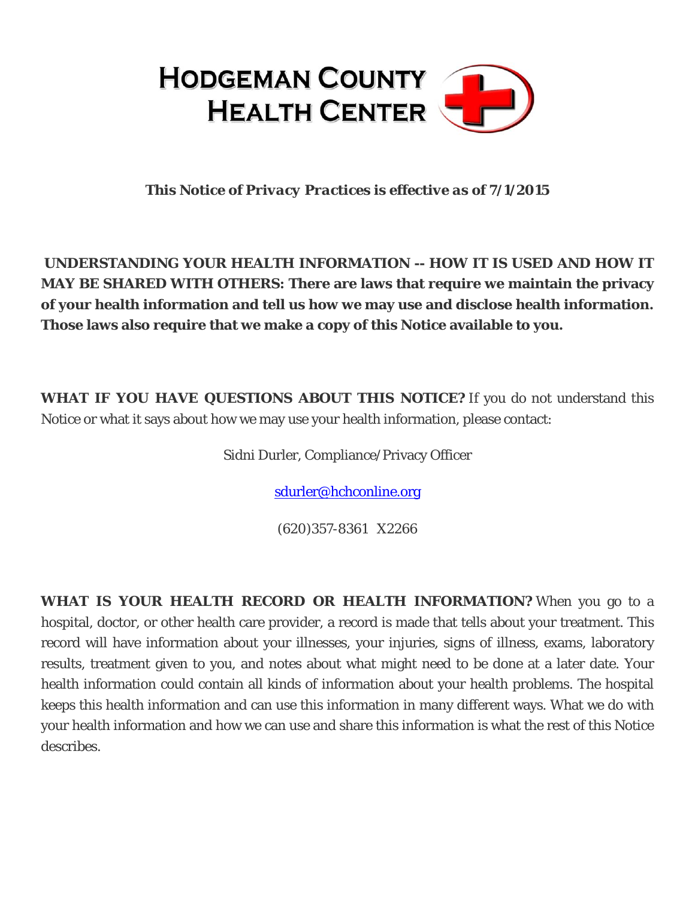

*This Notice of Privacy Practices is effective as of 7/1/2015* 

**UNDERSTANDING YOUR HEALTH INFORMATION -- HOW IT IS USED AND HOW IT MAY BE SHARED WITH OTHERS: There are laws that require we maintain the privacy of your health information and tell us how we may use and disclose health information. Those laws also require that we make a copy of this Notice available to you.**

**WHAT IF YOU HAVE QUESTIONS ABOUT THIS NOTICE?** If you do not understand this Notice or what it says about how we may use your health information, please contact:

Sidni Durler, Compliance/Privacy Officer

sdurler@hchconline.org

(620)357-8361 X2266

**WHAT IS YOUR HEALTH RECORD OR HEALTH INFORMATION?** When you go to a hospital, doctor, or other health care provider, a record is made that tells about your treatment. This record will have information about your illnesses, your injuries, signs of illness, exams, laboratory results, treatment given to you, and notes about what might need to be done at a later date. Your health information could contain all kinds of information about your health problems. The hospital keeps this health information and can use this information in many different ways. What we do with your health information and how we can use and share this information is what the rest of this Notice describes.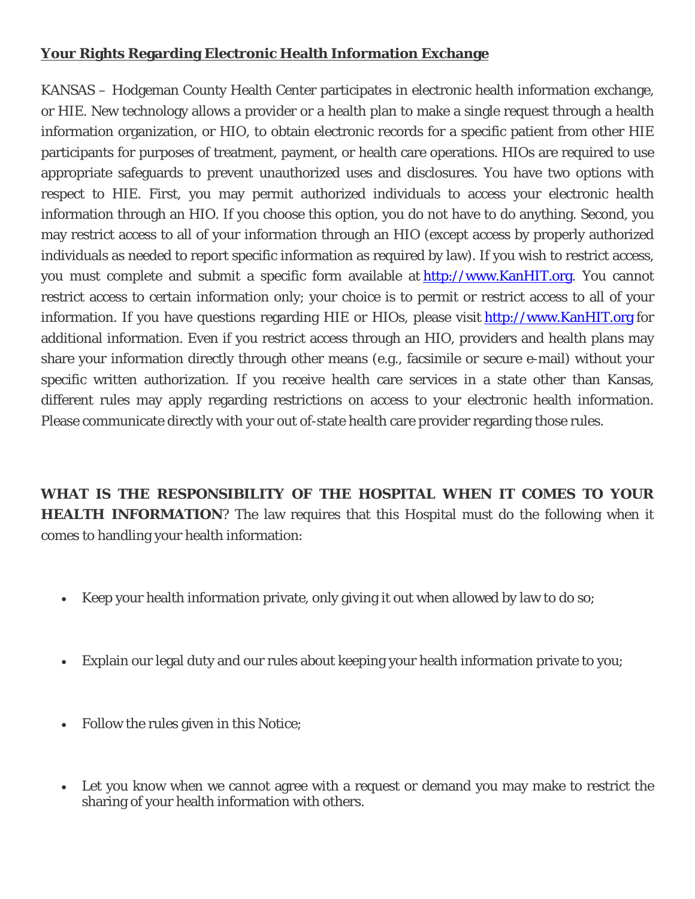## **Your Rights Regarding Electronic Health Information Exchange**

KANSAS – Hodgeman County Health Center participates in electronic health information exchange, or HIE. New technology allows a provider or a health plan to make a single request through a health information organization, or HIO, to obtain electronic records for a specific patient from other HIE participants for purposes of treatment, payment, or health care operations. HIOs are required to use appropriate safeguards to prevent unauthorized uses and disclosures. You have two options with respect to HIE. First, you may permit authorized individuals to access your electronic health information through an HIO. If you choose this option, you do not have to do anything. Second, you may restrict access to all of your information through an HIO (except access by properly authorized individuals as needed to report specific information as required by law). If you wish to restrict access, you must complete and submit a specific form available at http://www.KanHIT.org. You cannot restrict access to certain information only; your choice is to permit or restrict access to all of your information. If you have questions regarding HIE or HIOs, please visit http://www.KanHIT.org for additional information. Even if you restrict access through an HIO, providers and health plans may share your information directly through other means (e.g., facsimile or secure e-mail) without your specific written authorization. If you receive health care services in a state other than Kansas, different rules may apply regarding restrictions on access to your electronic health information. Please communicate directly with your out of-state health care provider regarding those rules.

**WHAT IS THE RESPONSIBILITY OF THE HOSPITAL WHEN IT COMES TO YOUR HEALTH INFORMATION**? The law requires that this Hospital must do the following when it comes to handling your health information:

- Keep your health information private, only giving it out when allowed by law to do so;
- Explain our legal duty and our rules about keeping your health information private to you;
- Follow the rules given in this Notice;
- Let you know when we cannot agree with a request or demand you may make to restrict the sharing of your health information with others.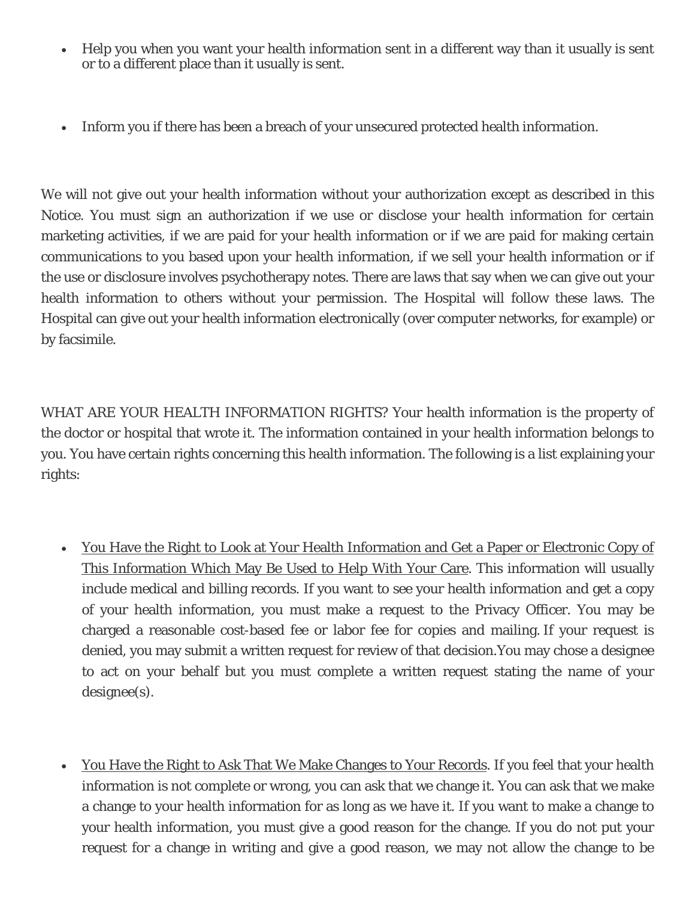- Help you when you want your health information sent in a different way than it usually is sent or to a different place than it usually is sent.
- Inform you if there has been a breach of your unsecured protected health information.

We will not give out your health information without your authorization except as described in this Notice. You must sign an authorization if we use or disclose your health information for certain marketing activities, if we are paid for your health information or if we are paid for making certain communications to you based upon your health information, if we sell your health information or if the use or disclosure involves psychotherapy notes. There are laws that say when we can give out your health information to others without your permission. The Hospital will follow these laws. The Hospital can give out your health information electronically (over computer networks, for example) or by facsimile.

WHAT ARE YOUR HEALTH INFORMATION RIGHTS? Your health information is the property of the doctor or hospital that wrote it. The information contained in your health information belongs to you. You have certain rights concerning this health information. The following is a list explaining your rights:

- You Have the Right to Look at Your Health Information and Get a Paper or Electronic Copy of This Information Which May Be Used to Help With Your Care. This information will usually include medical and billing records. If you want to see your health information and get a copy of your health information, you must make a request to the Privacy Officer. You may be charged a reasonable cost-based fee or labor fee for copies and mailing. If your request is denied, you may submit a written request for review of that decision.You may chose a designee to act on your behalf but you must complete a written request stating the name of your designee(s).
- You Have the Right to Ask That We Make Changes to Your Records. If you feel that your health information is not complete or wrong, you can ask that we change it. You can ask that we make a change to your health information for as long as we have it. If you want to make a change to your health information, you must give a good reason for the change. If you do not put your request for a change in writing and give a good reason, we may not allow the change to be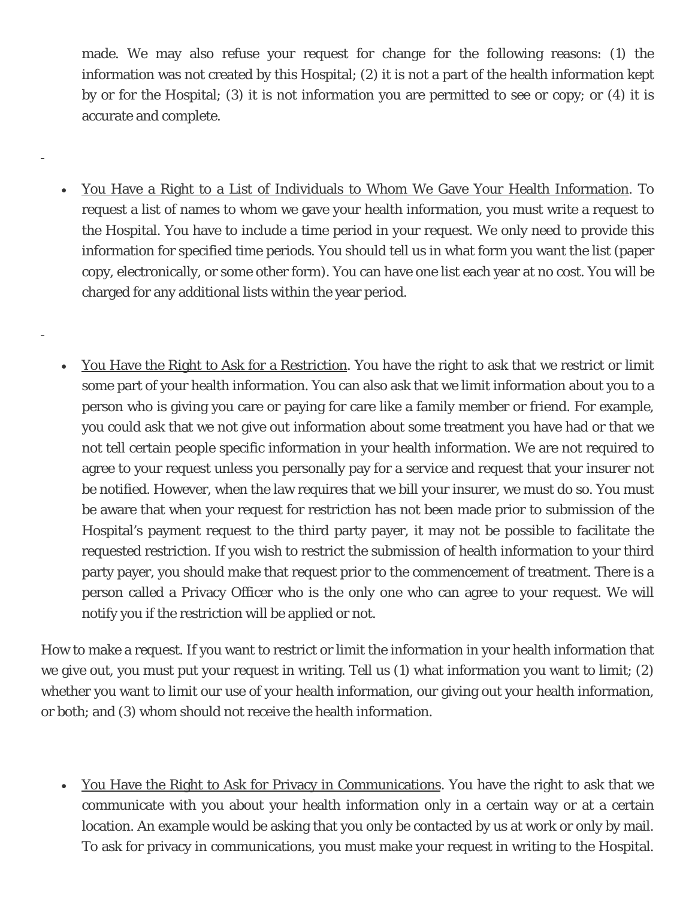made. We may also refuse your request for change for the following reasons: (1) the information was not created by this Hospital; (2) it is not a part of the health information kept by or for the Hospital; (3) it is not information you are permitted to see or copy; or (4) it is accurate and complete.

 You Have a Right to a List of Individuals to Whom We Gave Your Health Information. To request a list of names to whom we gave your health information, you must write a request to the Hospital. You have to include a time period in your request. We only need to provide this information for specified time periods. You should tell us in what form you want the list (paper copy, electronically, or some other form). You can have one list each year at no cost. You will be charged for any additional lists within the year period.

l

l

 You Have the Right to Ask for a Restriction. You have the right to ask that we restrict or limit some part of your health information. You can also ask that we limit information about you to a person who is giving you care or paying for care like a family member or friend. For example, you could ask that we not give out information about some treatment you have had or that we not tell certain people specific information in your health information. We are not required to agree to your request unless you personally pay for a service and request that your insurer not be notified. However, when the law requires that we bill your insurer, we must do so. You must be aware that when your request for restriction has not been made prior to submission of the Hospital's payment request to the third party payer, it may not be possible to facilitate the requested restriction. If you wish to restrict the submission of health information to your third party payer, you should make that request prior to the commencement of treatment. There is a person called a Privacy Officer who is the only one who can agree to your request. We will notify you if the restriction will be applied or not.

How to make a request. If you want to restrict or limit the information in your health information that we give out, you must put your request in writing. Tell us (1) what information you want to limit; (2) whether you want to limit our use of your health information, our giving out your health information, or both; and (3) whom should not receive the health information.

• You Have the Right to Ask for Privacy in Communications. You have the right to ask that we communicate with you about your health information only in a certain way or at a certain location. An example would be asking that you only be contacted by us at work or only by mail. To ask for privacy in communications, you must make your request in writing to the Hospital.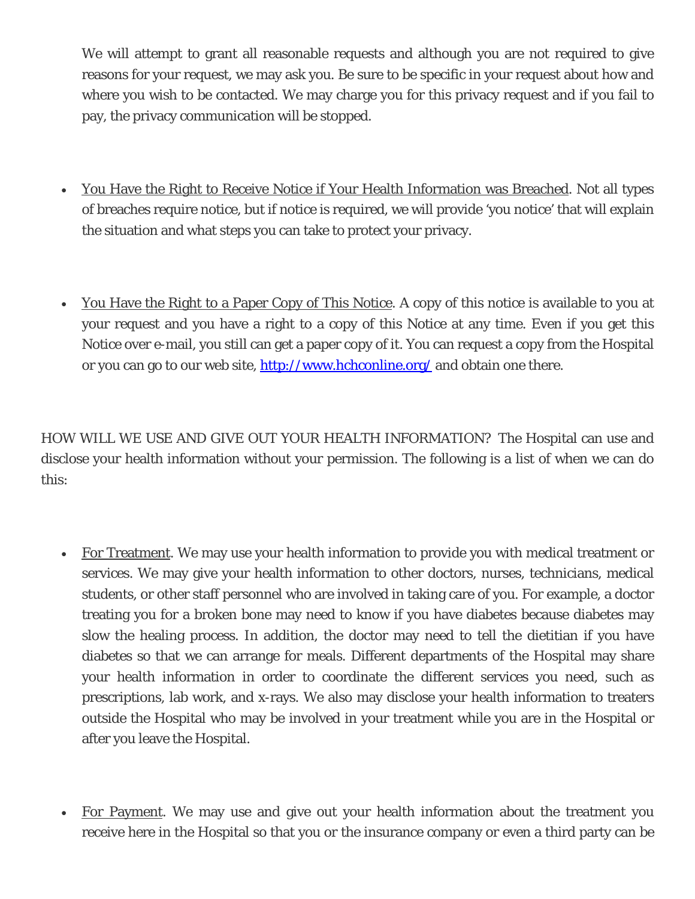We will attempt to grant all reasonable requests and although you are not required to give reasons for your request, we may ask you. Be sure to be specific in your request about how and where you wish to be contacted. We may charge you for this privacy request and if you fail to pay, the privacy communication will be stopped.

- You Have the Right to Receive Notice if Your Health Information was Breached. Not all types of breaches require notice, but if notice is required, we will provide 'you notice' that will explain the situation and what steps you can take to protect your privacy.
- You Have the Right to a Paper Copy of This Notice. A copy of this notice is available to you at your request and you have a right to a copy of this Notice at any time. Even if you get this Notice over e-mail, you still can get a paper copy of it. You can request a copy from the Hospital or you can go to our web site, http://www.hchconline.org/ and obtain one there.

HOW WILL WE USE AND GIVE OUT YOUR HEALTH INFORMATION? The Hospital can use and disclose your health information without your permission. The following is a list of when we can do this:

- For Treatment. We may use your health information to provide you with medical treatment or services. We may give your health information to other doctors, nurses, technicians, medical students, or other staff personnel who are involved in taking care of you. For example, a doctor treating you for a broken bone may need to know if you have diabetes because diabetes may slow the healing process. In addition, the doctor may need to tell the dietitian if you have diabetes so that we can arrange for meals. Different departments of the Hospital may share your health information in order to coordinate the different services you need, such as prescriptions, lab work, and x-rays. We also may disclose your health information to treaters outside the Hospital who may be involved in your treatment while you are in the Hospital or after you leave the Hospital.
- For Payment. We may use and give out your health information about the treatment you receive here in the Hospital so that you or the insurance company or even a third party can be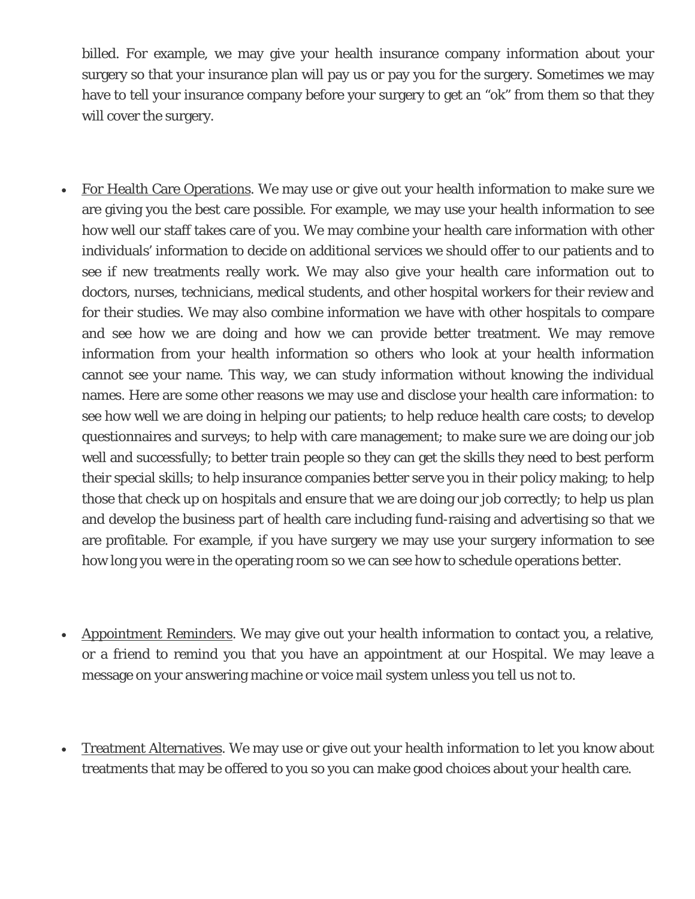billed. For example, we may give your health insurance company information about your surgery so that your insurance plan will pay us or pay you for the surgery. Sometimes we may have to tell your insurance company before your surgery to get an "ok" from them so that they will cover the surgery.

- For Health Care Operations. We may use or give out your health information to make sure we are giving you the best care possible. For example, we may use your health information to see how well our staff takes care of you. We may combine your health care information with other individuals' information to decide on additional services we should offer to our patients and to see if new treatments really work. We may also give your health care information out to doctors, nurses, technicians, medical students, and other hospital workers for their review and for their studies. We may also combine information we have with other hospitals to compare and see how we are doing and how we can provide better treatment. We may remove information from your health information so others who look at your health information cannot see your name. This way, we can study information without knowing the individual names. Here are some other reasons we may use and disclose your health care information: to see how well we are doing in helping our patients; to help reduce health care costs; to develop questionnaires and surveys; to help with care management; to make sure we are doing our job well and successfully; to better train people so they can get the skills they need to best perform their special skills; to help insurance companies better serve you in their policy making; to help those that check up on hospitals and ensure that we are doing our job correctly; to help us plan and develop the business part of health care including fund-raising and advertising so that we are profitable. For example, if you have surgery we may use your surgery information to see how long you were in the operating room so we can see how to schedule operations better.
- Appointment Reminders. We may give out your health information to contact you, a relative, or a friend to remind you that you have an appointment at our Hospital. We may leave a message on your answering machine or voice mail system unless you tell us not to.
- Treatment Alternatives. We may use or give out your health information to let you know about treatments that may be offered to you so you can make good choices about your health care.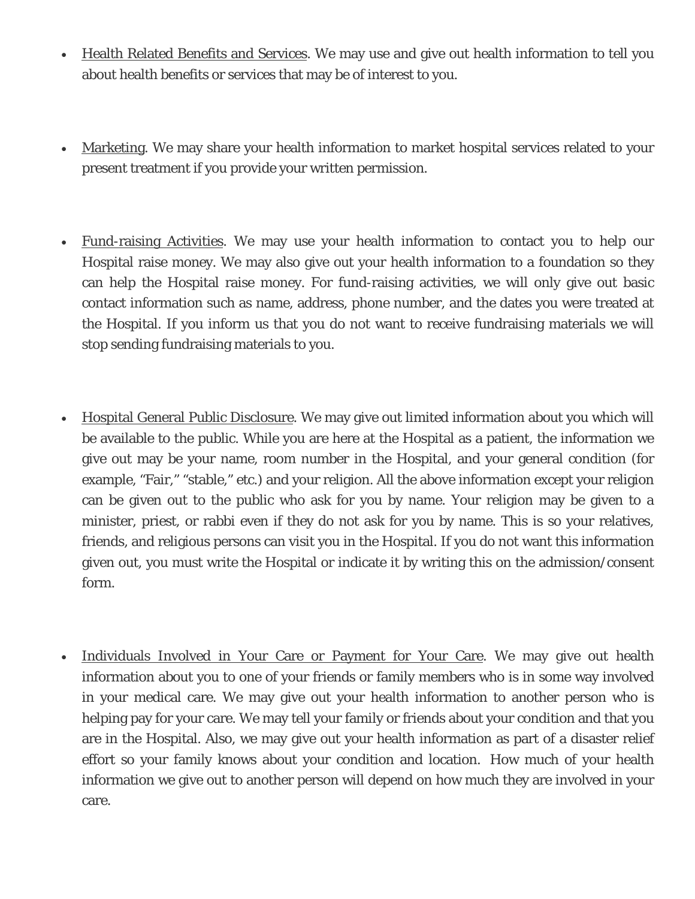- Health Related Benefits and Services. We may use and give out health information to tell you about health benefits or services that may be of interest to you.
- Marketing. We may share your health information to market hospital services related to your present treatment if you provide your written permission.
- Fund-raising Activities. We may use your health information to contact you to help our Hospital raise money. We may also give out your health information to a foundation so they can help the Hospital raise money. For fund-raising activities, we will only give out basic contact information such as name, address, phone number, and the dates you were treated at the Hospital. If you inform us that you do not want to receive fundraising materials we will stop sending fundraising materials to you.
- Hospital General Public Disclosure. We may give out limited information about you which will be available to the public. While you are here at the Hospital as a patient, the information we give out may be your name, room number in the Hospital, and your general condition (for example, "Fair," "stable," etc.) and your religion. All the above information except your religion can be given out to the public who ask for you by name. Your religion may be given to a minister, priest, or rabbi even if they do not ask for you by name. This is so your relatives, friends, and religious persons can visit you in the Hospital. If you do not want this information given out, you must write the Hospital or indicate it by writing this on the admission/consent form.
- Individuals Involved in Your Care or Payment for Your Care. We may give out health information about you to one of your friends or family members who is in some way involved in your medical care. We may give out your health information to another person who is helping pay for your care. We may tell your family or friends about your condition and that you are in the Hospital. Also, we may give out your health information as part of a disaster relief effort so your family knows about your condition and location. How much of your health information we give out to another person will depend on how much they are involved in your care.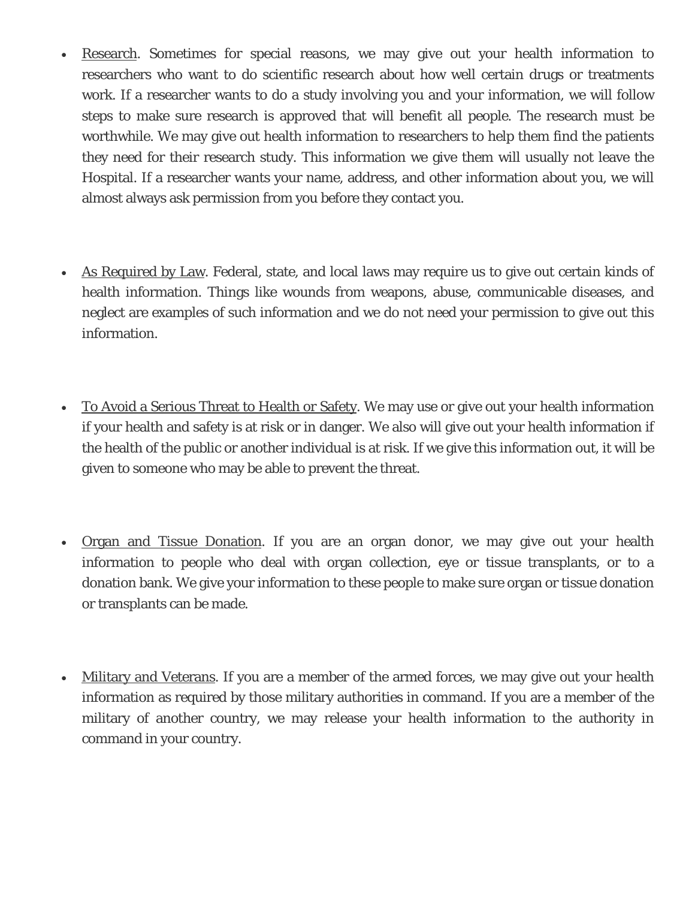- Research. Sometimes for special reasons, we may give out your health information to researchers who want to do scientific research about how well certain drugs or treatments work. If a researcher wants to do a study involving you and your information, we will follow steps to make sure research is approved that will benefit all people. The research must be worthwhile. We may give out health information to researchers to help them find the patients they need for their research study. This information we give them will usually not leave the Hospital. If a researcher wants your name, address, and other information about you, we will almost always ask permission from you before they contact you.
- As Required by Law. Federal, state, and local laws may require us to give out certain kinds of health information. Things like wounds from weapons, abuse, communicable diseases, and neglect are examples of such information and we do not need your permission to give out this information.
- To Avoid a Serious Threat to Health or Safety. We may use or give out your health information if your health and safety is at risk or in danger. We also will give out your health information if the health of the public or another individual is at risk. If we give this information out, it will be given to someone who may be able to prevent the threat.
- Organ and Tissue Donation. If you are an organ donor, we may give out your health information to people who deal with organ collection, eye or tissue transplants, or to a donation bank. We give your information to these people to make sure organ or tissue donation or transplants can be made.
- Military and Veterans. If you are a member of the armed forces, we may give out your health information as required by those military authorities in command. If you are a member of the military of another country, we may release your health information to the authority in command in your country.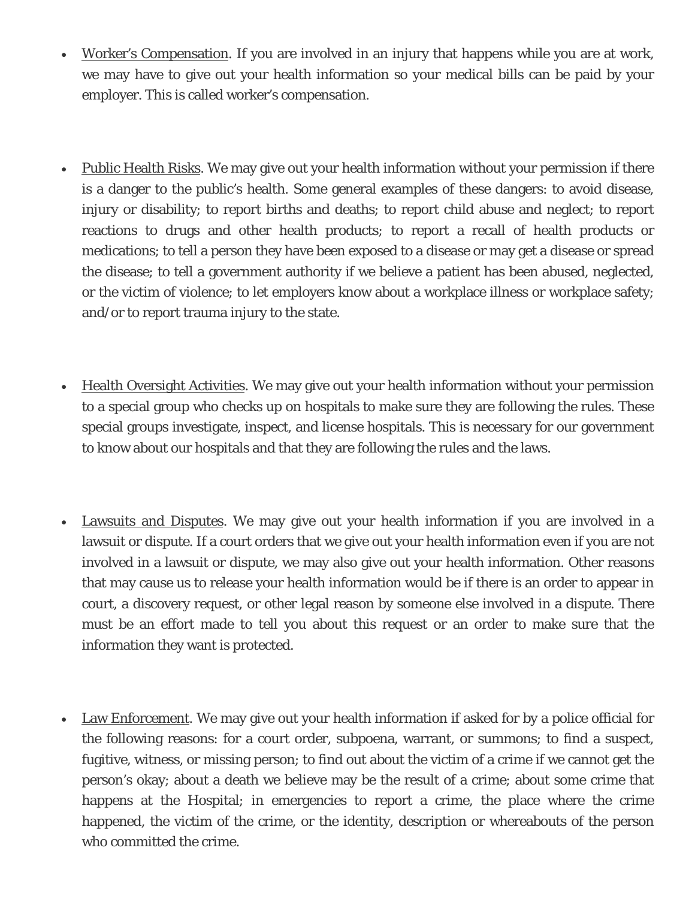- Worker's Compensation. If you are involved in an injury that happens while you are at work, we may have to give out your health information so your medical bills can be paid by your employer. This is called worker's compensation.
- Public Health Risks. We may give out your health information without your permission if there is a danger to the public's health. Some general examples of these dangers: to avoid disease, injury or disability; to report births and deaths; to report child abuse and neglect; to report reactions to drugs and other health products; to report a recall of health products or medications; to tell a person they have been exposed to a disease or may get a disease or spread the disease; to tell a government authority if we believe a patient has been abused, neglected, or the victim of violence; to let employers know about a workplace illness or workplace safety; and/or to report trauma injury to the state.
- Health Oversight Activities. We may give out your health information without your permission to a special group who checks up on hospitals to make sure they are following the rules. These special groups investigate, inspect, and license hospitals. This is necessary for our government to know about our hospitals and that they are following the rules and the laws.
- Lawsuits and Disputes. We may give out your health information if you are involved in a lawsuit or dispute. If a court orders that we give out your health information even if you are not involved in a lawsuit or dispute, we may also give out your health information. Other reasons that may cause us to release your health information would be if there is an order to appear in court, a discovery request, or other legal reason by someone else involved in a dispute. There must be an effort made to tell you about this request or an order to make sure that the information they want is protected.
- Law Enforcement. We may give out your health information if asked for by a police official for the following reasons: for a court order, subpoena, warrant, or summons; to find a suspect, fugitive, witness, or missing person; to find out about the victim of a crime if we cannot get the person's okay; about a death we believe may be the result of a crime; about some crime that happens at the Hospital; in emergencies to report a crime, the place where the crime happened, the victim of the crime, or the identity, description or whereabouts of the person who committed the crime.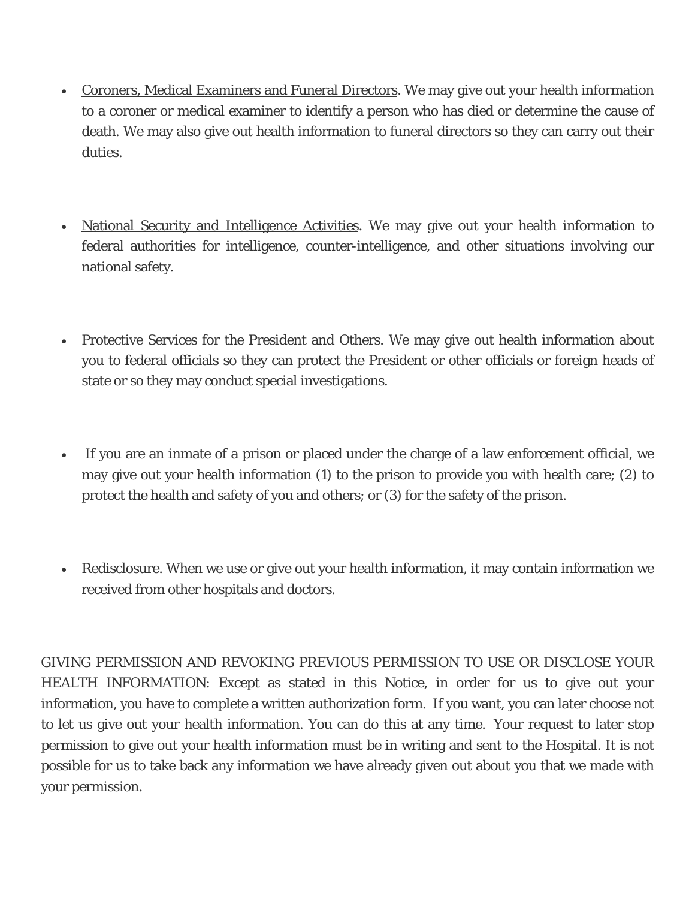- Coroners, Medical Examiners and Funeral Directors. We may give out your health information to a coroner or medical examiner to identify a person who has died or determine the cause of death. We may also give out health information to funeral directors so they can carry out their duties.
- National Security and Intelligence Activities. We may give out your health information to federal authorities for intelligence, counter-intelligence, and other situations involving our national safety.
- Protective Services for the President and Others. We may give out health information about you to federal officials so they can protect the President or other officials or foreign heads of state or so they may conduct special investigations.
- If you are an inmate of a prison or placed under the charge of a law enforcement official, we may give out your health information (1) to the prison to provide you with health care; (2) to protect the health and safety of you and others; or (3) for the safety of the prison.
- Redisclosure. When we use or give out your health information, it may contain information we received from other hospitals and doctors.

GIVING PERMISSION AND REVOKING PREVIOUS PERMISSION TO USE OR DISCLOSE YOUR HEALTH INFORMATION: Except as stated in this Notice, in order for us to give out your information, you have to complete a written authorization form. If you want, you can later choose not to let us give out your health information. You can do this at any time. Your request to later stop permission to give out your health information must be in writing and sent to the Hospital. It is not possible for us to take back any information we have already given out about you that we made with your permission.